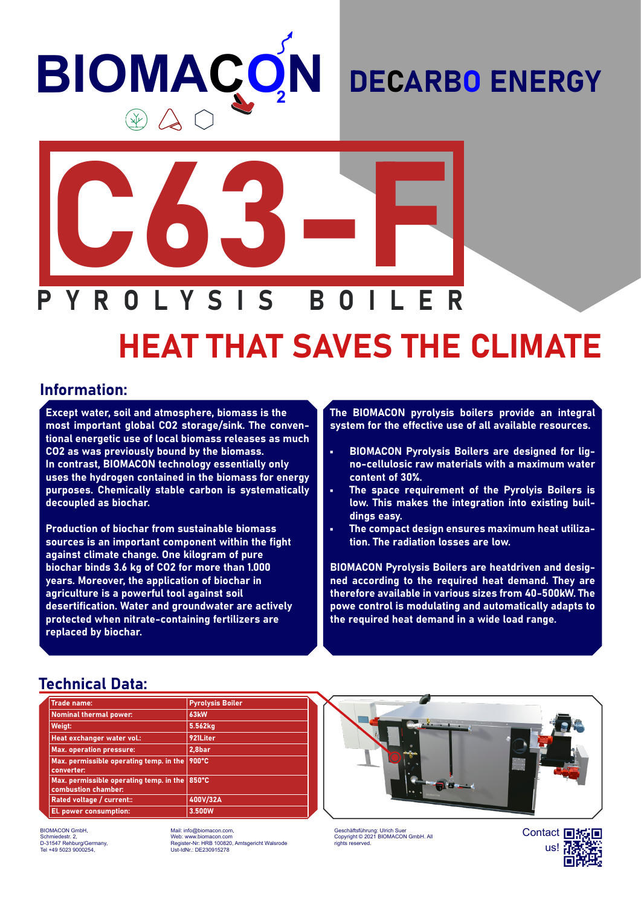# **BIOMAÇ N**

## DECARBO ENERGY



# HEAT THAT SAVES THE CLIMATE

#### Information:

Except water, soil and atmosphere, biomass is the most important global CO2 storage/sink. The conventional energetic use of local biomass releases as much CO2 as was previously bound by the biomass. In contrast, BIOMACON technology essentially only uses the hydrogen contained in the biomass for energy purposes. Chemically stable carbon is systematically decoupled as biochar.

Production of biochar from sustainable biomass sources is an important component within the fight against climate change. One kilogram of pure biochar binds 3.6 kg of CO2 for more than 1.000 years. Moreover, the application of biochar in agriculture is a powerful tool against soil desertification. Water and groundwater are actively protected when nitrate-containing fertilizers are replaced by biochar.

The BIOMACON pyrolysis boilers provide an integral system for the effective use of all available resources.

- BIOMACON Pyrolysis Boilers are designed for ligno-cellulosic raw materials with a maximum water content of 30%.
- The space requirement of the Pyrolyis Boilers is low. This makes the integration into existing buildings easy.
- The compact design ensures maximum heat utilization. The radiation losses are low.

BIOMACON Pyrolysis Boilers are heatdriven and designed according to the required heat demand. They are therefore available in various sizes from 40-500kW. The powe control is modulating and automatically adapts to the required heat demand in a wide load range.

#### Technical Data:

| <b>Trade name:</b>                                             | <b>Pyrolysis Boiler</b> |
|----------------------------------------------------------------|-------------------------|
| <b>Nominal thermal power:</b>                                  | 63 <sub>kW</sub>        |
| Weigt:                                                         | 5.562kg                 |
| Heat exchanger water vol.:                                     | 921Liter                |
| <b>Max. operation pressure:</b>                                | 2,8bar                  |
| Max. permissible operating temp. in the<br>converter:          | 900°C                   |
| Max. permissible operating temp. in the<br>combustion chamber: | 850°C                   |
| Rated voltage / current::                                      | 400V/32A                |
| El. power consumption:                                         | 3.500W                  |

BIOMACON GmbH, Schmiedestr. 2, D-31547 Rehburg/Germany, Tel +49 5023 9000254,

Mail: info@biomacon.com, Web: www.biomacon.com Register-Nr: HRB 100820, Amtsgericht Walsrode Ust-IdNr.: DE230915278



Geschäftsführung: Ulrich Suer Copyright © 2021 BIOMACON GmbH. All rights reserved.